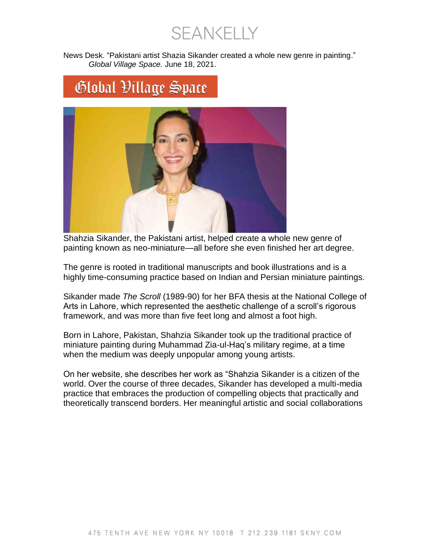**SEANKELLY** 

News Desk. "Pakistani artist Shazia Sikander created a whole new genre in painting." *Global Village Space.* June 18, 2021.

## Global Village Space



Shahzia Sikander, the Pakistani artist, helped create a whole new genre of painting known as neo-miniature—all before she even finished her art degree.

The genre is rooted in traditional manuscripts and book illustrations and is a highly time-consuming practice based on Indian and Persian miniature paintings.

Sikander made *The Scroll* (1989-90) for her BFA thesis at the National College of Arts in Lahore, which represented the aesthetic challenge of a scroll's rigorous framework, and was more than five feet long and almost a foot high.

Born in Lahore, Pakistan, Shahzia Sikander took up the traditional practice of miniature painting during Muhammad Zia-ul-Haq's military regime, at a time when the medium was deeply unpopular among young artists.

On her website, she describes her work as "Shahzia Sikander is a citizen of the world. Over the course of three decades, Sikander has developed a multi-media practice that embraces the production of compelling objects that practically and theoretically transcend borders. Her meaningful artistic and social collaborations